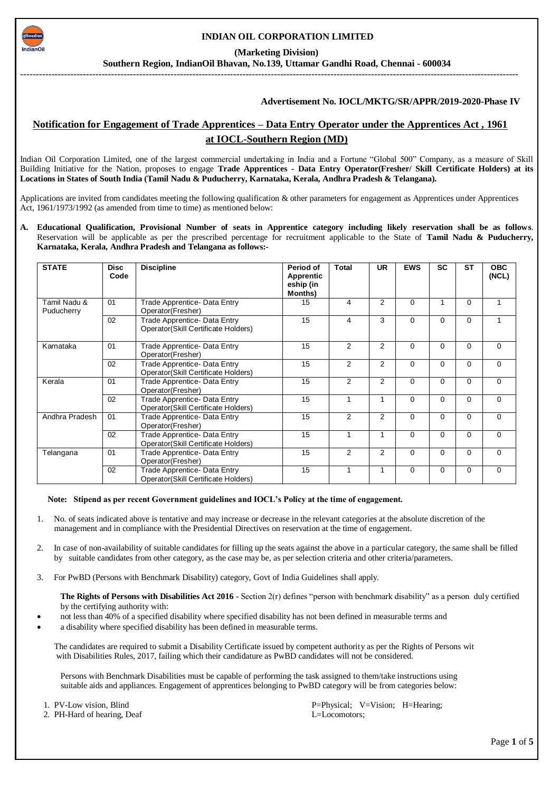

### **INDIAN OIL CORPORATION LIMITED**

 **(Marketing Division)**

**Southern Region, IndianOil Bhavan, No.139, Uttamar Gandhi Road, Chennai - 600034**

---------------------------------------------------------------------------------------------------------------------------------------------------------------

#### **Advertisement No. IOCL/MKTG/SR/APPR/2019-2020-Phase IV**

# **Notification for Engagement of Trade Apprentices – Data Entry Operator under the Apprentices Act , 1961 at IOCL-Southern Region (MD)**

Indian Oil Corporation Limited, one of the largest commercial undertaking in India and a Fortune "Global 500" Company, as a measure of Skill Building Initiative for the Nation, proposes to engage **Trade Apprentices - Data Entry Operator(Fresher/ Skill Certificate Holders) at its Locations in States of South India (Tamil Nadu & Puducherry, Karnataka, Kerala, Andhra Pradesh & Telangana).**

Applications are invited from candidates meeting the following qualification & other parameters for engagement as Apprentices under Apprentices Act, 1961/1973/1992 (as amended from time to time) as mentioned below:

**A. Educational Qualification, Provisional Number of seats in Apprentice category including likely reservation shall be as follows**. Reservation will be applicable as per the prescribed percentage for recruitment applicable to the State of **Tamil Nadu & Puducherry, Karnataka, Kerala, Andhra Pradesh and Telangana as follows:-**

| <b>STATE</b>               | <b>Disc</b><br>Code | <b>Discipline</b>                                                          | Period of<br><b>Apprentic</b><br>eship (in<br>Months) | Total | <b>UR</b>      | <b>EWS</b> | <b>SC</b> | <b>ST</b> | <b>OBC</b><br>(NCL) |
|----------------------------|---------------------|----------------------------------------------------------------------------|-------------------------------------------------------|-------|----------------|------------|-----------|-----------|---------------------|
| Tamil Nadu &<br>Puducherry | 01                  | Trade Apprentice- Data Entry<br>Operator(Fresher)                          | 15                                                    | 4     | $\overline{2}$ | $\Omega$   |           | $\Omega$  |                     |
|                            | 02                  | Trade Apprentice- Data Entry<br><b>Operator(Skill Certificate Holders)</b> | 15                                                    | 4     | 3              | $\Omega$   | $\Omega$  | $\Omega$  |                     |
| Karnataka                  | 01                  | <b>Trade Apprentice- Data Entry</b><br>Operator(Fresher)                   | 15                                                    | 2     | $\overline{2}$ | $\Omega$   | $\Omega$  | $\Omega$  | $\Omega$            |
|                            | 02                  | Trade Apprentice- Data Entry<br><b>Operator(Skill Certificate Holders)</b> | 15                                                    | 2     | $\overline{2}$ | $\Omega$   | $\Omega$  | $\Omega$  | $\Omega$            |
| Kerala                     | 01                  | Trade Apprentice- Data Entry<br>Operator(Fresher)                          | 15                                                    | 2     | $\overline{2}$ | $\Omega$   | $\Omega$  | $\Omega$  | $\Omega$            |
|                            | 02                  | Trade Apprentice- Data Entry<br><b>Operator(Skill Certificate Holders)</b> | 15                                                    | 1     |                | $\Omega$   | $\Omega$  | $\Omega$  | $\Omega$            |
| Andhra Pradesh             | 01                  | <b>Trade Apprentice- Data Entry</b><br>Operator(Fresher)                   | 15                                                    | 2     | $\overline{2}$ | $\Omega$   | $\Omega$  | $\Omega$  | $\Omega$            |
|                            | 02                  | Trade Apprentice- Data Entry<br>Operator (Skill Certificate Holders)       | 15                                                    |       |                | $\Omega$   | $\Omega$  | $\Omega$  | $\Omega$            |
| Telangana                  | 01                  | <b>Trade Apprentice- Data Entry</b><br>Operator(Fresher)                   | 15                                                    | 2     | $\overline{2}$ | $\Omega$   | $\Omega$  | $\Omega$  | $\Omega$            |
|                            | 02                  | Trade Apprentice- Data Entry<br>Operator (Skill Certificate Holders)       | 15                                                    | 1     |                | $\Omega$   | $\Omega$  | $\Omega$  | $\Omega$            |

 **Note: Stipend as per recent Government guidelines and IOCL's Policy at the time of engagement.**

- 1. No. of seats indicated above is tentative and may increase or decrease in the relevant categories at the absolute discretion of the management and in compliance with the Presidential Directives on reservation at the time of engagement.
- 2. In case of non-availability of suitable candidates for filling up the seats against the above in a particular category, the same shall be filled by suitable candidates from other category, as the case may be, as per selection criteria and other criteria/parameters.
- 3. For PwBD (Persons with Benchmark Disability) category, Govt of India Guidelines shall apply.

 **The Rights of Persons with Disabilities Act 2016 -** Section 2(r) defines "person with benchmark disability" as a person duly certified by the certifying authority with:

- not less than 40% of a specified disability where specified disability has not been defined in measurable terms and
- a disability where specified disability has been defined in measurable terms.

 The candidates are required to submit a Disability Certificate issued by competent authority as per the Rights of Persons wit with Disabilities Rules, 2017, failing which their candidature as PwBD candidates will not be considered.

 Persons with Benchmark Disabilities must be capable of performing the task assigned to them/take instructions using suitable aids and appliances. Engagement of apprentices belonging to PwBD category will be from categories below:

2. PH-Hard of hearing, Deaf L=Locomotors;

1. PV-Low vision, Blind P=Physical; V=Vision; H=Hearing;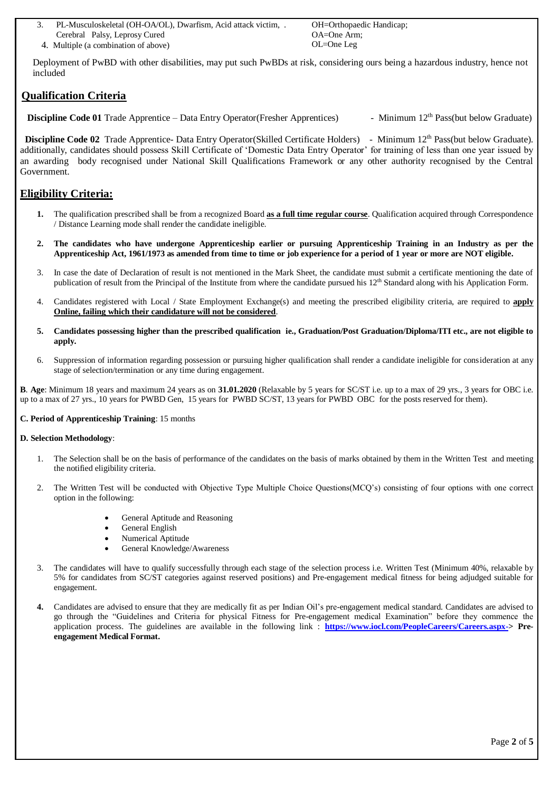- 3. PL-Musculoskeletal (OH-OA/OL), Dwarfism, Acid attack victim, . Cerebral Palsy, Leprosy Cured
- 4. Multiple (a combination of above) OL=One Leg

OH=Orthopaedic Handicap; OA=One Arm;

Deployment of PwBD with other disabilities, may put such PwBDs at risk, considering ours being a hazardous industry, hence not included

# **Qualification Criteria**

**Discipline Code 01** Trade Apprentice – Data Entry Operator(Fresher Apprentices) - Minimum 12<sup>th</sup> Pass(but below Graduate)

**Discipline Code 02** Trade Apprentice- Data Entry Operator(Skilled Certificate Holders) - Minimum 12<sup>th</sup> Pass(but below Graduate). additionally, candidates should possess Skill Certificate of 'Domestic Data Entry Operator' for training of less than one year issued by an awarding body recognised under National Skill Qualifications Framework or any other authority recognised by the Central Government.

# **Eligibility Criteria:**

- **1.** The qualification prescribed shall be from a recognized Board **as a full time regular course**. Qualification acquired through Correspondence / Distance Learning mode shall render the candidate ineligible.
- **2. The candidates who have undergone Apprenticeship earlier or pursuing Apprenticeship Training in an Industry as per the Apprenticeship Act, 1961/1973 as amended from time to time or job experience for a period of 1 year or more are NOT eligible.**
- 3. In case the date of Declaration of result is not mentioned in the Mark Sheet, the candidate must submit a certificate mentioning the date of publication of result from the Principal of the Institute from where the candidate pursued his 12<sup>th</sup> Standard along with his Application Form.
- 4. Candidates registered with Local / State Employment Exchange(s) and meeting the prescribed eligibility criteria, are required to **apply Online, failing which their candidature will not be considered**.
- **5. Candidates possessing higher than the prescribed qualification ie., Graduation/Post Graduation/Diploma/ITI etc., are not eligible to apply.**
- 6. Suppression of information regarding possession or pursuing higher qualification shall render a candidate ineligible for consideration at any stage of selection/termination or any time during engagement.

**B**. **Age**: Minimum 18 years and maximum 24 years as on **31.01.2020** (Relaxable by 5 years for SC/ST i.e. up to a max of 29 yrs., 3 years for OBC i.e. up to a max of 27 yrs., 10 years for PWBD Gen, 15 years for PWBD SC/ST, 13 years for PWBD OBC for the posts reserved for them).

## **C. Period of Apprenticeship Training**: 15 months

### **D. Selection Methodology**:

- 1. The Selection shall be on the basis of performance of the candidates on the basis of marks obtained by them in the Written Test and meeting the notified eligibility criteria.
- 2. The Written Test will be conducted with Objective Type Multiple Choice Questions(MCQ's) consisting of four options with one correct option in the following:
	- General Aptitude and Reasoning
	- General English
	- Numerical Aptitude
	- General Knowledge/Awareness
- 3. The candidates will have to qualify successfully through each stage of the selection process i.e. Written Test (Minimum 40%, relaxable by 5% for candidates from SC/ST categories against reserved positions) and Pre-engagement medical fitness for being adjudged suitable for engagement.
- **4.** Candidates are advised to ensure that they are medically fit as per Indian Oil's pre-engagement medical standard. Candidates are advised to go through the "Guidelines and Criteria for physical Fitness for Pre-engagement medical Examination" before they commence the application process. The guidelines are available in the following link : **[https://www.iocl.com/PeopleCareers/Careers.aspx->](https://www.iocl.com/PeopleCareers/Careers.aspx-) Preengagement Medical Format.**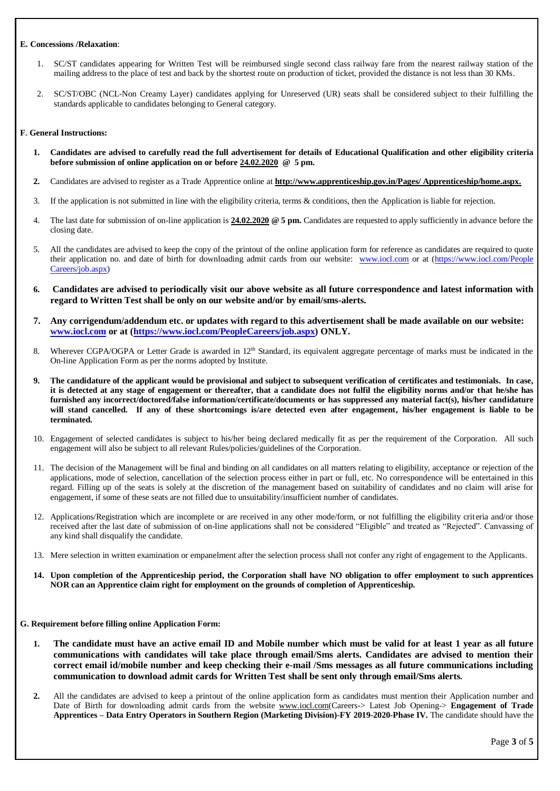#### **E. Concessions /Relaxation**:

- 1. SC/ST candidates appearing for Written Test will be reimbursed single second class railway fare from the nearest railway station of the mailing address to the place of test and back by the shortest route on production of ticket, provided the distance is not less than 30 KMs.
- 2. SC/ST/OBC (NCL-Non Creamy Layer) candidates applying for Unreserved (UR) seats shall be considered subject to their fulfilling the standards applicable to candidates belonging to General category.

#### **F. General Instructions:**

- **1. Candidates are advised to carefully read the full advertisement for details of Educational Qualification and other eligibility criteria before submission of online application on or before 24.02.2020 @ 5 pm.**
- **2.** Candidates are advised to register as a Trade Apprentice online at **http://www.apprenticeship.gov.in/Pages/ Apprenticeship/home.aspx.**
- 3. If the application is not submitted in line with the eligibility criteria, terms & conditions, then the Application is liable for rejection.
- 4. The last date for submission of on-line application is **24.02.2020 @ 5 pm.** Candidates are requested to apply sufficiently in advance before the closing date.
- 5. All the candidates are advised to keep the copy of the printout of the online application form for reference as candidates are required to quote their application no. and date of birth for downloading admit cards from our website: [www.iocl.com](http://www.iocl.com/) or at [\(https://www.iocl.com/People](https://www.iocl.com/PeopleCareers/job.aspx) [Careers/job.aspx\)](https://www.iocl.com/PeopleCareers/job.aspx)
- **6. Candidates are advised to periodically visit our above website as all future correspondence and latest information with regard to Written Test shall be only on our website and/or by email/sms-alerts.**
- **7. Any corrigendum/addendum etc. or updates with regard to this advertisement shall be made available on our website: [www.iocl.com](http://www.iocl.com/) or at [\(https://www.iocl.com/PeopleCareers/job.aspx\)](https://www.iocl.com/PeopleCareers/job.aspx) ONLY.**
- 8. Wherever CGPA/OGPA or Letter Grade is awarded in 12<sup>th</sup> Standard, its equivalent aggregate percentage of marks must be indicated in the On-line Application Form as per the norms adopted by Institute.
- **9. The candidature of the applicant would be provisional and subject to subsequent verification of certificates and testimonials. In case, it is detected at any stage of engagement or thereafter, that a candidate does not fulfil the eligibility norms and/or that he/she has furnished any incorrect/doctored/false information/certificate/documents or has suppressed any material fact(s), his/her candidature will stand cancelled. If any of these shortcomings is/are detected even after engagement, his/her engagement is liable to be terminated.**
- 10. Engagement of selected candidates is subject to his/her being declared medically fit as per the requirement of the Corporation. All such engagement will also be subject to all relevant Rules/policies/guidelines of the Corporation.
- 11. The decision of the Management will be final and binding on all candidates on all matters relating to eligibility, acceptance or rejection of the applications, mode of selection, cancellation of the selection process either in part or full, etc. No correspondence will be entertained in this regard. Filling up of the seats is solely at the discretion of the management based on suitability of candidates and no claim will arise for engagement, if some of these seats are not filled due to unsuitability/insufficient number of candidates.
- 12. Applications/Registration which are incomplete or are received in any other mode/form, or not fulfilling the eligibility criteria and/or those received after the last date of submission of on-line applications shall not be considered "Eligible" and treated as "Rejected". Canvassing of any kind shall disqualify the candidate.
- 13. Mere selection in written examination or empanelment after the selection process shall not confer any right of engagement to the Applicants.
- **14. Upon completion of the Apprenticeship period, the Corporation shall have NO obligation to offer employment to such apprentices NOR can an Apprentice claim right for employment on the grounds of completion of Apprenticeship.**

#### **G. Requirement before filling online Application Form:**

- **1. The candidate must have an active email ID and Mobile number which must be valid for at least 1 year as all future communications with candidates will take place through email/Sms alerts. Candidates are advised to mention their correct email id/mobile number and keep checking their e-mail /Sms messages as all future communications including communication to download admit cards for Written Test shall be sent only through email/Sms alerts.**
- **2.** All the candidates are advised to keep a printout of the online application form as candidates must mention their Application number and Date of Birth for downloading admit cards from the website [www.iocl.com\(](http://www.iocl.com/)Careers-> Latest Job Opening-> **Engagement of Trade Apprentices – Data Entry Operators in Southern Region (Marketing Division)-FY 2019-2020-Phase IV.** The candidate should have the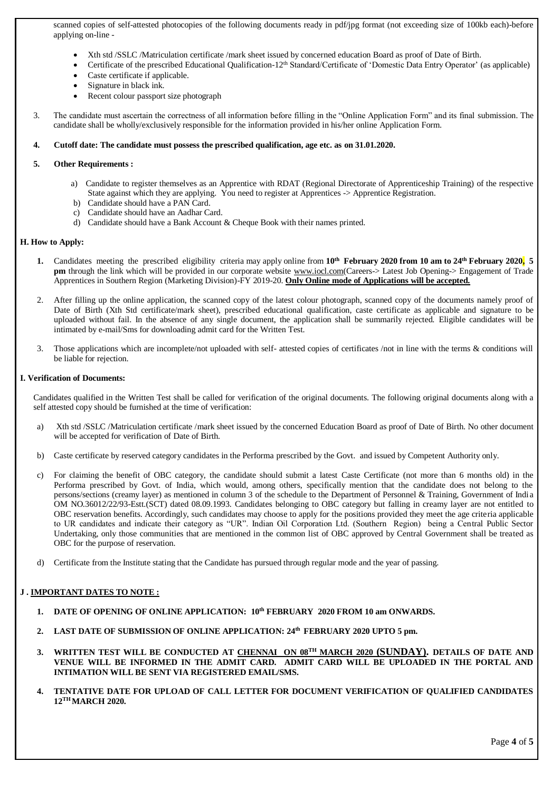scanned copies of self-attested photocopies of the following documents ready in pdf/jpg format (not exceeding size of 100kb each)-before applying on-line -

- Xth std /SSLC /Matriculation certificate /mark sheet issued by concerned education Board as proof of Date of Birth.
- Certificate of the prescribed Educational Qualification-12<sup>th</sup> Standard/Certificate of 'Domestic Data Entry Operator' (as applicable)
- Caste certificate if applicable.
- Signature in black ink.
- Recent colour passport size photograph
- 3. The candidate must ascertain the correctness of all information before filling in the "Online Application Form" and its final submission. The candidate shall be wholly/exclusively responsible for the information provided in his/her online Application Form.

#### **4. Cutoff date: The candidate must possess the prescribed qualification, age etc. as on 31.01.2020.**

#### **5. Other Requirements :**

- a) Candidate to register themselves as an Apprentice with RDAT (Regional Directorate of Apprenticeship Training) of the respective State against which they are applying. You need to register at Apprentices -> Apprentice Registration.
- b) Candidate should have a PAN Card.
- c) Candidate should have an Aadhar Card.
- d) Candidate should have a Bank Account & Cheque Book with their names printed.

#### **H. How to Apply:**

- **1.** Candidates meeting the prescribed eligibility criteria may apply online from **10th February 2020 from 10 am to 24th February 2020, 5 pm** through the link which will be provided in our corporate website [www.iocl.com\(](http://www.iocl.com/)Careers-> Latest Job Opening-> Engagement of Trade Apprentices in Southern Region (Marketing Division)-FY 2019-20. **Only Online mode of Applications will be accepted.**
- 2. After filling up the online application, the scanned copy of the latest colour photograph, scanned copy of the documents namely proof of Date of Birth (Xth Std certificate/mark sheet), prescribed educational qualification, caste certificate as applicable and signature to be uploaded without fail. In the absence of any single document, the application shall be summarily rejected. Eligible candidates will be intimated by e-mail/Sms for downloading admit card for the Written Test.
- 3. Those applications which are incomplete/not uploaded with self- attested copies of certificates /not in line with the terms & conditions will be liable for rejection.

#### **I. Verification of Documents:**

Candidates qualified in the Written Test shall be called for verification of the original documents. The following original documents along with a self attested copy should be furnished at the time of verification:

- a) Xth std /SSLC /Matriculation certificate /mark sheet issued by the concerned Education Board as proof of Date of Birth. No other document will be accepted for verification of Date of Birth.
- b) Caste certificate by reserved category candidates in the Performa prescribed by the Govt. and issued by Competent Authority only.
- c) For claiming the benefit of OBC category, the candidate should submit a latest Caste Certificate (not more than 6 months old) in the Performa prescribed by Govt. of India, which would, among others, specifically mention that the candidate does not belong to the persons/sections (creamy layer) as mentioned in column 3 of the schedule to the Department of Personnel & Training, Government of India OM NO.36012/22/93-Estt.(SCT) dated 08.09.1993. Candidates belonging to OBC category but falling in creamy layer are not entitled to OBC reservation benefits. Accordingly, such candidates may choose to apply for the positions provided they meet the age criteria applicable to UR candidates and indicate their category as "UR". Indian Oil Corporation Ltd. (Southern Region) being a Central Public Sector Undertaking, only those communities that are mentioned in the common list of OBC approved by Central Government shall be treated as OBC for the purpose of reservation.
- d) Certificate from the Institute stating that the Candidate has pursued through regular mode and the year of passing.

### **J . IMPORTANT DATES TO NOTE :**

- **1. DATE OF OPENING OF ONLINE APPLICATION: 10th FEBRUARY 2020 FROM 10 am ONWARDS.**
- **2. LAST DATE OF SUBMISSION OF ONLINE APPLICATION: 24th FEBRUARY 2020 UPTO 5 pm.**
- 3. WRITTEN TEST WILL BE CONDUCTED AT CHENNAI ON 08<sup>TH</sup> MARCH 2020 (SUNDAY). DETAILS OF DATE AND **VENUE WILL BE INFORMED IN THE ADMIT CARD. ADMIT CARD WILL BE UPLOADED IN THE PORTAL AND INTIMATION WILL BE SENT VIA REGISTERED EMAIL/SMS.**
- **4. TENTATIVE DATE FOR UPLOAD OF CALL LETTER FOR DOCUMENT VERIFICATION OF QUALIFIED CANDIDATES 12TH MARCH 2020.**